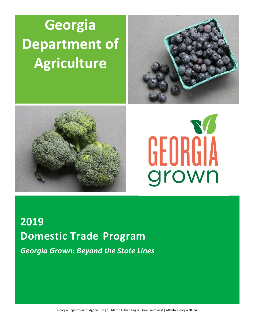# **Georgia Department of Agriculture**







# **2019 Domestic Trade Program** *Georgia Grown: Beyond the State Lines*

Georgia Department of Agriculture | 19 Martin Luther King Jr. Drive Southwest | Atlanta, Georgia 30334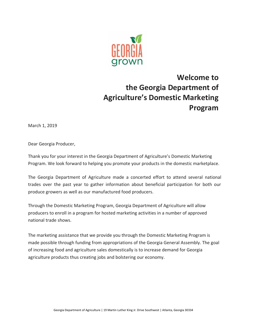

# **Welcome to the Georgia Department of Agriculture's Domestic Marketing Program**

March 1, 2019

Dear Georgia Producer,

Thank you for your interest in the Georgia Department of Agriculture's Domestic Marketing Program. We look forward to helping you promote your products in the domestic marketplace.

The Georgia Department of Agriculture made a concerted effort to attend several national trades over the past year to gather information about beneficial participation for both our produce growers as well as our manufactured food producers.

Through the Domestic Marketing Program, Georgia Department of Agriculture will allow producers to enroll in a program for hosted marketing activities in a number of approved national trade shows.

The marketing assistance that we provide you through the Domestic Marketing Program is made possible through funding from appropriations of the Georgia General Assembly. The goal of increasing food and agriculture sales domestically is to increase demand for Georgia agriculture products thus creating jobs and bolstering our economy.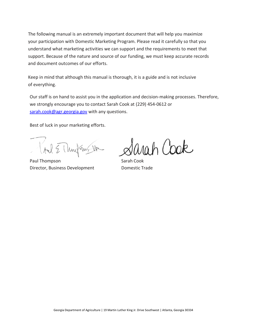The following manual is an extremely important document that will help you maximize your participation with Domestic Marketing Program. Please read it carefully so that you understand what marketing activities we can support and the requirements to meet that support. Because of the nature and source of our funding, we must keep accurate records and document outcomes of our efforts.

Keep in mind that although this manual is thorough, it is a guide and is not inclusive of everything.

Our staff is on hand to assist you in the application and decision-making processes. Therefore, we strongly encourage you to contact Sarah Cook at (229) 454-0612 or [sarah.cook@agr.georgia.gov](mailto:sarah.cook@agr.georgia.gov) with any questions.

Best of luck in your marketing efforts.

Tril E Muil ans the

Paul Thompson Sarah Cook Director, Business Development Domestic Trade

arah Cook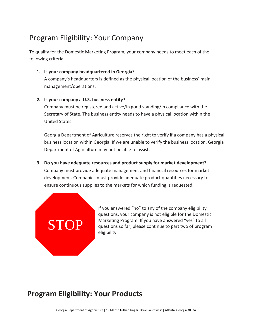# Program Eligibility: Your Company

To qualify for the Domestic Marketing Program, your company needs to meet each of the following criteria:

### **1. Is your company headquartered in Georgia?**

A company's headquarters is defined as the physical location of the business' main management/operations.

### **2. Is your company a U.S. business entity?**

Company must be registered and active/in good standing/in compliance with the Secretary of State. The business entity needs to have a physical location within the United States.

Georgia Department of Agriculture reserves the right to verify if a company has a physical business location within Georgia. If we are unable to verify the business location, Georgia Department of Agriculture may not be able to assist.

### **3. Do you have adequate resources and product supply for market development?** Company must provide adequate management and financial resources for market

development. Companies must provide adequate product quantities necessary to ensure continuous supplies to the markets for which funding is requested.



If you answered "no" to any of the company eligibility questions, your company is not eligible for the Domestic Marketing Program. If you have answered "yes" to all questions so far, please continue to part two of program eligibility.

# **Program Eligibility: Your Products**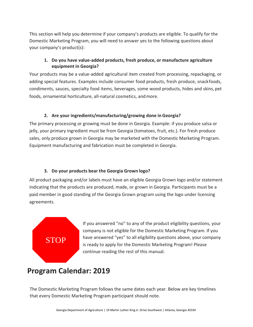This section will help you determine if your company's products are eligible. To qualify for the Domestic Marketing Program, you will need to answer yes to the following questions about your company's product(s):

### **1. Do you have value-added products, fresh produce, or manufacture agriculture equipment in Georgia?**

Your products may be a value-added agricultural item created from processing, repackaging, or adding special features. Examples include consumer food products, fresh produce, snackfoods, condiments, sauces, specialty food items, beverages, some wood products, hides and skins, pet foods, ornamental horticulture, all-natural cosmetics, and more.

### **2. Are your ingredients/manufacturing/growing done in Georgia?**

The primary processing or growing must be done in Georgia. Example: if you produce salsa or jelly, your primary ingredient must be from Georgia (tomatoes, fruit, etc.). For fresh produce sales, only produce grown in Georgia may be marketed with the Domestic Marketing Program. Equipment manufacturing and fabrication must be completed in Georgia.

### **3. Do your products bear the Georgia Grown logo?**

All product packaging and/or labels must have an eligible Georgia Grown logo and/or statement indicating that the products are produced, made, or grown in Georgia. Participants must be a paid member in good standing of the Georgia Grown program using the logo under licensing agreements.

# STOP

If you answered "no" to any of the product eligibility questions, your company is not eligible for the Domestic Marketing Program. If you have answered "yes" to all eligibility questions above, your company is ready to apply for the Domestic Marketing Program! Please continue reading the rest of this manual.

# **Program Calendar: 2019**

The Domestic Marketing Program follows the same dates each year. Below are key timelines that every Domestic Marketing Program participant should note.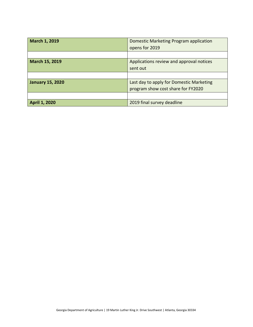| March 1, 2019           | Domestic Marketing Program application   |  |  |  |
|-------------------------|------------------------------------------|--|--|--|
|                         | opens for 2019                           |  |  |  |
|                         |                                          |  |  |  |
| March 15, 2019          | Applications review and approval notices |  |  |  |
|                         | sent out                                 |  |  |  |
|                         |                                          |  |  |  |
| <b>January 15, 2020</b> | Last day to apply for Domestic Marketing |  |  |  |
|                         | program show cost share for FY2020       |  |  |  |
|                         |                                          |  |  |  |
| <b>April 1, 2020</b>    | 2019 final survey deadline               |  |  |  |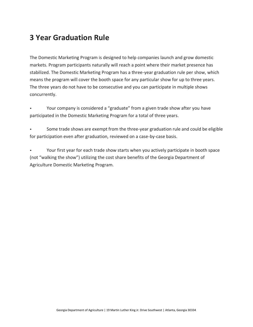# **3 Year Graduation Rule**

The Domestic Marketing Program is designed to help companies launch and grow domestic markets. Program participants naturally will reach a point where their market presence has stabilized. The Domestic Marketing Program has a three-year graduation rule per show, which means the program will cover the booth space for any particular show for up to three years. The three years do not have to be consecutive and you can participate in multiple shows concurrently.

• Your company is considered a "graduate" from a given trade show after you have participated in the Domestic Marketing Program for a total of three years.

• Some trade shows are exempt from the three-year graduation rule and could be eligible for participation even after graduation, reviewed on a case-by-case basis.

• Your first year for each trade show starts when you actively participate in booth space (not "walking the show") utilizing the cost share benefits of the Georgia Department of Agriculture Domestic Marketing Program.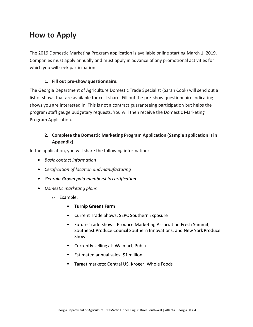# **How to Apply**

The 2019 Domestic Marketing Program application is available online starting March 1, 2019. Companies must apply annually and must apply in advance of any promotional activities for which you will seek participation.

### **1. Fill out pre-show questionnaire.**

The Georgia Department of Agriculture Domestic Trade Specialist (Sarah Cook) will send out a list of shows that are available for cost share. Fill out the pre-show questionnaire indicating shows you are interested in. This is not a contract guaranteeing participation but helps the program staff gauge budgetary requests. You will then receive the Domestic Marketing Program Application.

### **2. Complete the Domestic Marketing Program Application (Sample application isin Appendix).**

In the application, you will share the following information:

- *Basic contact information*
- *Certification of location andmanufacturing*
- *Georgia Grown paid membership certification*
- *Domestic marketing plans*
	- o Example:
		- **Turnip Greens Farm**
		- Current Trade Shows: SEPC Southern Exposure
		- Future Trade Shows: Produce Marketing Association Fresh Summit, Southeast Produce Council Southern Innovations, and New York Produce Show.
		- Currently selling at: Walmart, Publix
		- Estimated annual sales: \$1 million
		- Target markets: Central US, Kroger, Whole Foods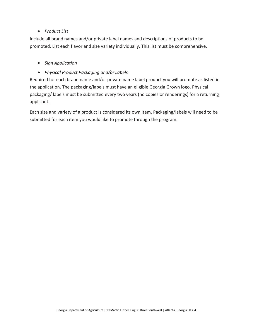### • *Product List*

Include all brand names and/or private label names and descriptions of products to be promoted. List each flavor and size variety individually. This list must be comprehensive.

- *Sign Application*
- *Physical Product Packaging and/or Labels*

Required for each brand name and/or private name label product you will promote as listed in the application. The packaging/labels must have an eligible Georgia Grown logo. Physical packaging/ labels must be submitted every two years (no copies or renderings) for a returning applicant.

Each size and variety of a product is considered its own item. Packaging/labels will need to be submitted for each item you would like to promote through the program.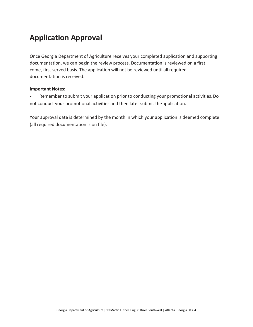# **Application Approval**

Once Georgia Department of Agriculture receives your completed application and supporting documentation, we can begin the review process. Documentation is reviewed on a first come, first served basis. The application will not be reviewed until all required documentation is received.

### **Important Notes:**

• Remember to submit your application prior to conducting your promotional activities.Do not conduct your promotional activities and then later submit the application.

Your approval date is determined by the month in which your application is deemed complete (all required documentation is on file).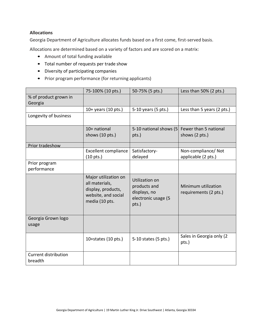### **Allocations**

Georgia Department of Agriculture allocates funds based on a first come, first-served basis.

Allocations are determined based on a variety of factors and are scored on a matrix:

- Amount of total funding available
- Total number of requests per trade show
- Diversity of participating companies
- Prior program performance (for returning applicants)

|                                  | 75-100% (10 pts.)                                                                                     | 50-75% (5 pts.)                                                                | Less than 50% (2 pts.)                       |  |
|----------------------------------|-------------------------------------------------------------------------------------------------------|--------------------------------------------------------------------------------|----------------------------------------------|--|
| % of product grown in<br>Georgia |                                                                                                       |                                                                                |                                              |  |
|                                  | $10+$ years (10 pts.)                                                                                 | 5-10 years (5 pts.)                                                            | Less than 5 years (2 pts.)                   |  |
| Longevity of business            |                                                                                                       |                                                                                |                                              |  |
|                                  | 10+ national                                                                                          | 5-10 national shows (5                                                         | Fewer than 5 national                        |  |
|                                  | shows (10 pts.)                                                                                       | pts.)                                                                          | shows (2 pts.)                               |  |
| Prior tradeshow                  |                                                                                                       |                                                                                |                                              |  |
|                                  | <b>Excellent compliance</b><br>$(10 \text{ pts.})$                                                    | Satisfactory-<br>delayed                                                       | Non-compliance/Not<br>applicable (2 pts.)    |  |
| Prior program<br>performance     |                                                                                                       |                                                                                |                                              |  |
|                                  | Major utilization on<br>all materials,<br>display, products,<br>website, and social<br>media (10 pts. | Utilization on<br>products and<br>displays, no<br>electronic usage (5<br>pts.) | Minimum utilization<br>requirements (2 pts.) |  |
| Georgia Grown logo<br>usage      |                                                                                                       |                                                                                |                                              |  |
|                                  | 10+states $(10 \text{ pts.})$                                                                         | 5-10 states (5 pts.)                                                           | Sales in Georgia only (2<br>pts.)            |  |
| Current distribution<br>breadth  |                                                                                                       |                                                                                |                                              |  |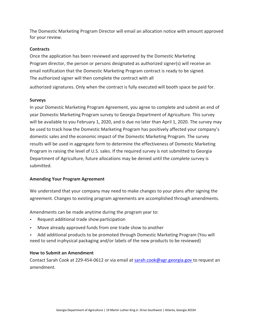The Domestic Marketing Program Director will email an allocation notice with amount approved for your review.

### **Contracts**

Once the application has been reviewed and approved by the Domestic Marketing Program director, the person or persons designated as authorized signer(s) will receive an email notification that the Domestic Marketing Program contract is ready to be signed. The authorized signer will then complete the contract with all

authorized signatures. Only when the contract is fully executed will booth space be paid for.

### **Surveys**

In your Domestic Marketing Program Agreement, you agree to complete and submit an end of year Domestic Marketing Program survey to Georgia Department of Agriculture. This survey will be available to you February 1, 2020, and is due no later than April 1, 2020. The survey may be used to track how the Domestic Marketing Program has positively affected your company's domestic sales and the economic impact of the Domestic Marketing Program. The survey results will be used in aggregate form to determine the effectiveness of Domestic Marketing Program in raising the level of U.S. sales. If the required survey is not submitted to Georgia Department of Agriculture, future allocations may be denied until the complete survey is submitted.

### **Amending Your Program Agreement**

We understand that your company may need to make changes to your plans after signing the agreement. Changes to existing program agreements are accomplished through amendments.

Amendments can be made anytime during the program year to:

- Request additional trade show participation
- Move already approved funds from one trade show to another
- Add additional products to be promoted through Domestic Marketing Program (You will need to send inphysical packaging and/or labels of the new products to be reviewed)

### **How to Submit an Amendment**

Contact Sarah Cook at 229-454-0612 or via email at [sarah.cook@agr.georgia.gov t](mailto:sarah.cook@agr.georgia.gov)o request an amendment.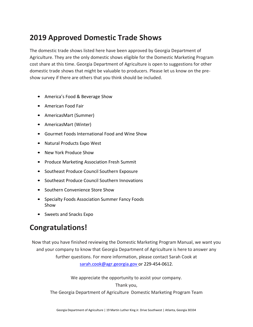# **2019 Approved Domestic Trade Shows**

The domestic trade shows listed here have been approved by Georgia Department of Agriculture. They are the only domestic shows eligible for the Domestic Marketing Program cost share at this time. Georgia Department of Agriculture is open to suggestions for other domestic trade shows that might be valuable to producers. Please let us know on the preshow survey if there are others that you think should be included.

- America's Food & Beverage Show
- American Food Fair
- AmericasMart (Summer)
- AmericasMart (Winter)
- Gourmet Foods International Food and Wine Show
- Natural Products Expo West
- New York Produce Show
- Produce Marketing Association Fresh Summit
- Southeast Produce Council Southern Exposure
- Southeast Produce Council Southern Innovations
- Southern Convenience Store Show
- Specialty Foods Association Summer Fancy Foods Show
- Sweets and Snacks Expo

# **Congratulations!**

Now that you have finished reviewing the Domestic Marketing Program Manual, we want you and your company to know that Georgia Department of Agriculture is here to answer any further questions. For more information, please contact Sarah Cook at [sarah.cook@agr.georgia.gov o](mailto:sarah.cook@agr.georgia.gov)r 229-454-0612.

We appreciate the opportunity to assist your company.

Thank you,

The Georgia Department of Agriculture Domestic Marketing Program Team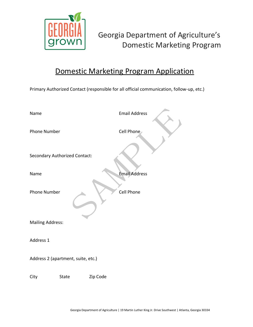

# Georgia Department of Agriculture's Domestic Marketing Program

# Domestic Marketing Program Application

Primary Authorized Contact (responsible for all official communication, follow-up, etc.)

| Name                               |                                      |          | <b>Email Address</b> |  |  |
|------------------------------------|--------------------------------------|----------|----------------------|--|--|
| <b>Phone Number</b>                |                                      |          | Cell Phone           |  |  |
|                                    | <b>Secondary Authorized Contact:</b> |          |                      |  |  |
| Name                               |                                      |          | <b>Email Address</b> |  |  |
| <b>Phone Number</b>                |                                      |          | Cell Phone           |  |  |
| <b>Mailing Address:</b>            |                                      |          |                      |  |  |
| Address 1                          |                                      |          |                      |  |  |
| Address 2 (apartment, suite, etc.) |                                      |          |                      |  |  |
| City                               | State                                | Zip Code |                      |  |  |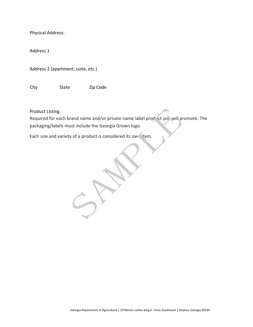Physical Address:

Address 1

Address 2 (apartment, suite, etc.)

City State Zip Code

Product Listing

Required for each brand name and/or private name label product you will promote. The packaging/labels must include the Georgia Grown logo.

Each size and variety of a product is considered its own item.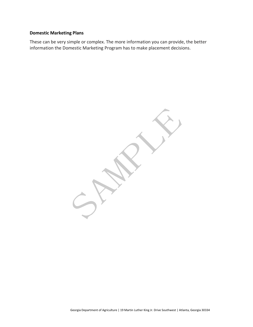### **Domestic Marketing Plans**

These can be very simple or complex. The more information you can provide, the better information the Domestic Marketing Program has to make placement decisions.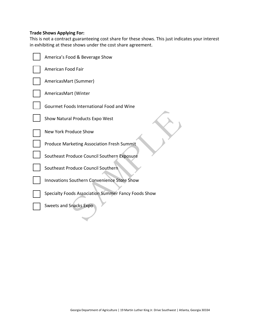### **Trade Shows Applying For:**

This is not a contract guaranteeing cost share for these shows. This just indicates your interest in exhibiting at these shows under the cost share agreement.

| America's Food & Beverage Show                      |
|-----------------------------------------------------|
| American Food Fair                                  |
| AmericasMart (Summer)                               |
| AmericasMart (Winter                                |
| Gourmet Foods International Food and Wine           |
| Show Natural Products Expo West                     |
| New York Produce Show                               |
| <b>Produce Marketing Association Fresh Summit</b>   |
| Southeast Produce Council Southern Exposure         |
| Southeast Produce Council Southern                  |
| Innovations Southern Convenience Store Show         |
| Specialty Foods Association Summer Fancy Foods Show |
| Sweets and Snacks Expo                              |
|                                                     |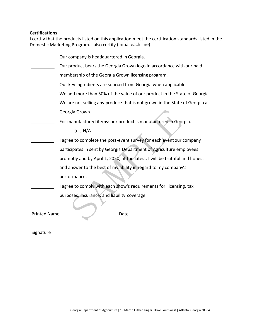### **Certifications**

I certify that the products listed on this application meet the certification standards listed in the Domestic Marketing Program. I also certify (initial each line):

|                     | Our company is headquartered in Georgia.                                    |
|---------------------|-----------------------------------------------------------------------------|
|                     | Our product bears the Georgia Grown logo in accordance with our paid        |
|                     | membership of the Georgia Grown licensing program.                          |
|                     | Our key ingredients are sourced from Georgia when applicable.               |
|                     | We add more than 50% of the value of our product in the State of Georgia.   |
|                     | We are not selling any produce that is not grown in the State of Georgia as |
|                     | Georgia Grown.                                                              |
|                     | For manufactured items: our product is manufactured in Georgia.             |
|                     | (or) $N/A$                                                                  |
|                     | I agree to complete the post-event survey for each event our company        |
|                     | participates in sent by Georgia Department of Agriculture employees         |
|                     | promptly and by April 1, 2020, at the latest. I will be truthful and honest |
|                     | and answer to the best of my ability in regard to my company's              |
|                     | performance.                                                                |
|                     | I agree to comply with each show's requirements for licensing, tax          |
|                     | purposes, insurance, and liability coverage.                                |
| <b>Printed Name</b> | Date                                                                        |

Signature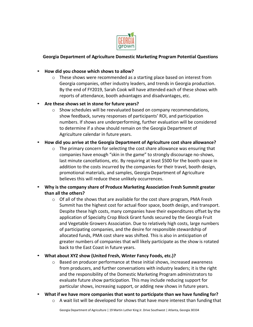

### **Georgia Department of Agriculture Domestic Marketing Program Potential Questions**

### • **How did you choose which shows to allow?**

 $\circ$  These shows were recommended as a starting place based on interest from Georgia companies, other industry leaders, and trends in Georgia production. By the end of FY2019, Sarah Cook will have attended each of these shows with reports of attendance, booth advantages and disadvantages, etc.

### • **Are these shows set in stone for future years?**

 $\circ$  Show schedules will be reevaluated based on company recommendations, show feedback, survey responses of participants' ROI, and participation numbers. If shows are underperforming, further evaluation will be considered to determine if a show should remain on the Georgia Department of Agriculture calendar in future years.

### • **How did you arrive at the Georgia Department of Agriculture cost share allowance?**

 $\circ$  The primary concern for selecting the cost share allowance was ensuring that companies have enough "skin in the game" to strongly discourage no-shows, last minute cancellations, etc. By requiring at least \$500 for the booth space in addition to the costs incurred by the companies for their travel, booth design, promotional materials, and samples, Georgia Department of Agriculture believes this will reduce these unlikely occurrences.

### • **Why is the company share of Produce Marketing Association Fresh Summit greater than all the others?**

 $\circ$  Of all of the shows that are available for the cost share program, PMA Fresh Summit has the highest cost for actual floor space, booth design, and transport. Despite these high costs, many companies have their expenditures offset by the application of Specialty Crop Block Grant funds secured by the Georgia Fruit and Vegetable Growers Association. Due to relatively high costs, large numbers of participating companies, and the desire for responsible stewardship of allocated funds, PMA cost share was shifted. This is also in anticipation of greater numbers of companies that will likely participate as the show is rotated back to the East Coast in future years.

### • **What about XYZ show (United Fresh, Winter Fancy Foods, etc.)?**

- o Based on producer performance at these initial shows, increased awareness from producers, and further conversations with industry leaders; it is the right and the responsibility of the Domestic Marketing Program administrators to evaluate future show participation. This may include reducing support for particular shows, increasing support, or adding new shows in future years.
- **What if we have more companies that want to participate than we have funding for?**
	- $\circ$  A wait list will be developed for shows that have more interest than funding that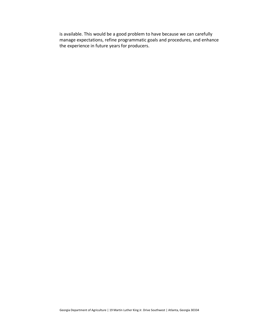is available. This would be a good problem to have because we can carefully manage expectations, refine programmatic goals and procedures, and enhance the experience in future years for producers.